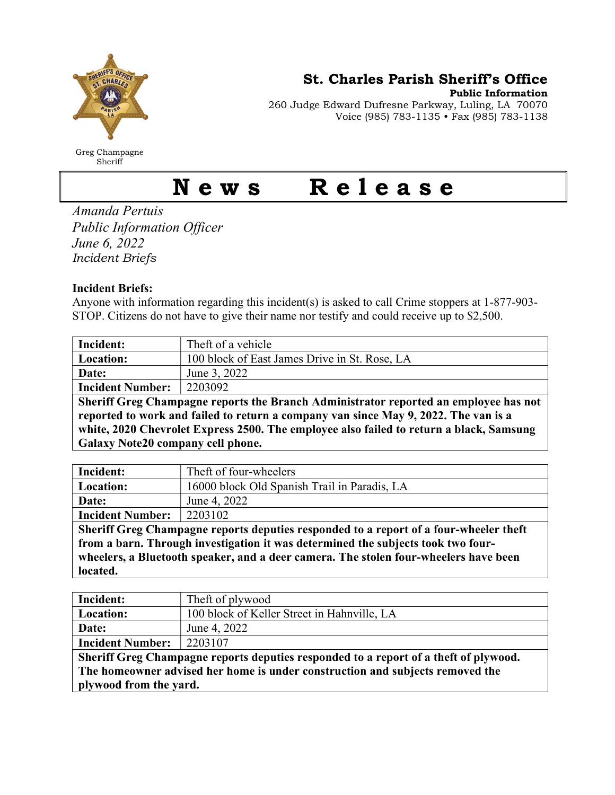

Greg Champagne Sheriff

St. Charles Parish Sheriff's Office

Public Information

260 Judge Edward Dufresne Parkway, Luling, LA 70070 Voice (985) 783-1135 • Fax (985) 783-1138

## News Release

Amanda Pertuis Public Information Officer June 6, 2022 Incident Briefs

## Incident Briefs:

Anyone with information regarding this incident(s) is asked to call Crime stoppers at 1-877-903- STOP. Citizens do not have to give their name nor testify and could receive up to \$2,500.

| Incident:                                                                            | Theft of a vehicle                            |  |
|--------------------------------------------------------------------------------------|-----------------------------------------------|--|
| Location:                                                                            | 100 block of East James Drive in St. Rose, LA |  |
| Date:                                                                                | June 3, 2022                                  |  |
| <b>Incident Number:</b>                                                              | 2203092                                       |  |
| Sheriff Greg Champagne reports the Branch Administrator reported an employee has not |                                               |  |
| reported to work and failed to return a company van since May 9, 2022. The van is a  |                                               |  |
| $\mathbf{P}$ and $\mathbf{P}$ is a sequence in the sequence of $\mathbf{P}$          |                                               |  |

white, 2020 Chevrolet Express 2500. The employee also failed to return a black, Samsung Galaxy Note20 company cell phone.

| Incident:                                                                             | Theft of four-wheelers                       |  |
|---------------------------------------------------------------------------------------|----------------------------------------------|--|
| Location:                                                                             | 16000 block Old Spanish Trail in Paradis, LA |  |
| Date:                                                                                 | June 4, 2022                                 |  |
| <b>Incident Number:</b>                                                               | 2203102                                      |  |
| Sheriff Greg Champagne reports deputies responded to a report of a four-wheeler theft |                                              |  |
| from a barn. Through investigation it was determined the subjects took two four-      |                                              |  |
| wheelers, a Bluetooth speaker, and a deer camera. The stolen four-wheelers have been  |                                              |  |
| located.                                                                              |                                              |  |

| Incident:                                                                            | Theft of plywood                            |  |
|--------------------------------------------------------------------------------------|---------------------------------------------|--|
| Location:                                                                            | 100 block of Keller Street in Hahnville, LA |  |
| Date:                                                                                | June 4, 2022                                |  |
| <b>Incident Number:</b>                                                              | 2203107                                     |  |
| Sheriff Greg Champagne reports deputies responded to a report of a theft of plywood. |                                             |  |
| The homeowner advised her home is under construction and subjects removed the        |                                             |  |
| plywood from the yard.                                                               |                                             |  |